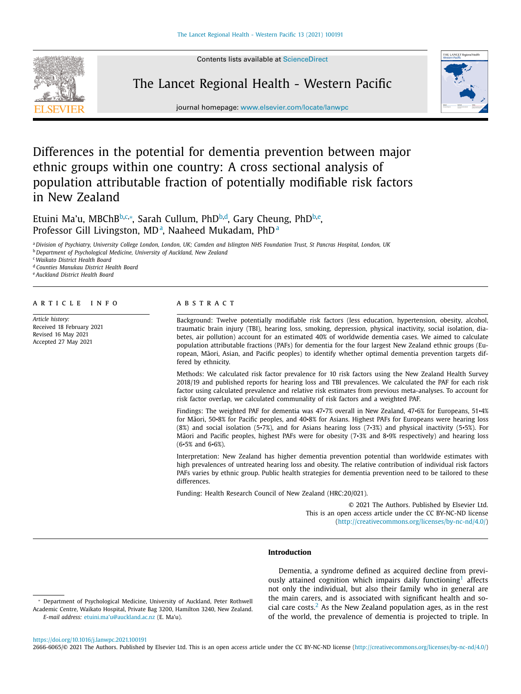Contents lists available at [ScienceDirect](http://www.ScienceDirect.com)



# The Lancet Regional Health - Western Pacific



journal homepage: [www.elsevier.com/locate/lanwpc](http://www.elsevier.com/locate/lanwpc)

# Differences in the potential for dementia prevention between major ethnic groups within one country: A cross sectional analysis of population attributable fraction of potentially modifiable risk factors in New Zealand

Etuini Ma'u, MBChB<sup>b,c,</sup>\*, Sarah Cullum, PhD<sup>b,d</sup>, Gary Cheung, PhD<sup>b,e</sup>, Professor Gill Livingston, MD<sup>a</sup>, Naaheed Mukadam, PhD<sup>a</sup>

a Division of Psychiatry, University College London, London, UK; Camden and Islington NHS Foundation Trust, St Pancras Hospital, London, UK

<sup>b</sup> *Department of Psychological Medicine, University of Auckland, New Zealand*

<sup>c</sup> *Waikato District Health Board*

<sup>d</sup> *Counties Manukau District Health Board*

<sup>e</sup> *Auckland District Health Board*

#### a r t i c l e i n f o

*Article history:* Received 18 February 2021 Revised 16 May 2021 Accepted 27 May 2021

# a b s t r a c t

Background: Twelve potentially modifiable risk factors (less education, hypertension, obesity, alcohol, traumatic brain injury (TBI), hearing loss, smoking, depression, physical inactivity, social isolation, diabetes, air pollution) account for an estimated 40% of worldwide dementia cases. We aimed to calculate population attributable fractions (PAFs) for dementia for the four largest New Zealand ethnic groups (European, Māori, Asian, and Pacific peoples) to identify whether optimal dementia prevention targets differed by ethnicity.

Methods: We calculated risk factor prevalence for 10 risk factors using the New Zealand Health Survey 2018/19 and published reports for hearing loss and TBI prevalences. We calculated the PAF for each risk factor using calculated prevalence and relative risk estimates from previous meta-analyses. To account for risk factor overlap, we calculated communality of risk factors and a weighted PAF.

Findings: The weighted PAF for dementia was 47•7% overall in New Zealand, 47•6% for Europeans, 51•4% for Māori, 50•8% for Pacific peoples, and 40•8% for Asians. Highest PAFs for Europeans were hearing loss (8%) and social isolation (5•7%), and for Asians hearing loss (7•3%) and physical inactivity (5•5%). For Māori and Pacific peoples, highest PAFs were for obesity (7•3% and 8•9% respectively) and hearing loss (6•5% and 6•6%).

Interpretation: New Zealand has higher dementia prevention potential than worldwide estimates with high prevalences of untreated hearing loss and obesity. The relative contribution of individual risk factors PAFs varies by ethnic group. Public health strategies for dementia prevention need to be tailored to these differences.

Funding: Health Research Council of New Zealand (HRC:20/021).

© 2021 The Authors. Published by Elsevier Ltd. This is an open access article under the CC BY-NC-ND license [\(http://creativecommons.org/licenses/by-nc-nd/4.0/\)](http://creativecommons.org/licenses/by-nc-nd/4.0/)

## **Introduction**

Dementia, a syndrome defined as acquired decline from previ-ously attained cognition which impairs daily functioning<sup>[1](#page-7-0)</sup> affects not only the individual, but also their family who in general are the main carers, and is associated with significant health and social care costs. $<sup>2</sup>$  $<sup>2</sup>$  $<sup>2</sup>$  As the New Zealand population ages, as in the rest</sup> of the world, the prevalence of dementia is projected to triple. In

<sup>∗</sup> Department of Psychological Medicine, University of Auckland, Peter Rothwell Academic Centre, Waikato Hospital, Private Bag 3200, Hamilton 3240, New Zealand. *E-mail address:* [etuini.ma'u@auckland.ac.nz](mailto:etuini.ma) (E. Ma'u).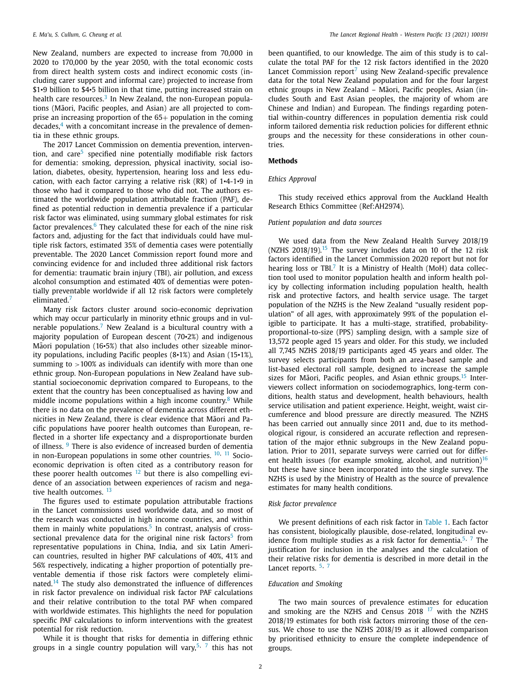New Zealand, numbers are expected to increase from 70,000 in 2020 to 170,000 by the year 2050, with the total economic costs from direct health system costs and indirect economic costs (including carer support and informal care) projected to increase from \$1•9 billion to \$4•5 billion in that time, putting increased strain on health care resources.<sup>[3](#page-7-0)</sup> In New Zealand, the non-European populations (Māori, Pacific peoples, and Asian) are all projected to comprise an increasing proportion of the  $65+$  population in the coming decades, $4$  with a concomitant increase in the prevalence of dementia in these ethnic groups.

The 2017 Lancet Commission on dementia prevention, interven-tion, and care<sup>[5](#page-7-0)</sup> specified nine potentially modifiable risk factors for dementia: smoking, depression, physical inactivity, social isolation, diabetes, obesity, hypertension, hearing loss and less education, with each factor carrying a relative risk (RR) of 1•4-1•9 in those who had it compared to those who did not. The authors estimated the worldwide population attributable fraction (PAF), defined as potential reduction in dementia prevalence if a particular risk factor was eliminated, using summary global estimates for risk factor prevalences. $6$  They calculated these for each of the nine risk factors and, adjusting for the fact that individuals could have multiple risk factors, estimated 35% of dementia cases were potentially preventable. The 2020 Lancet Commission report found more and convincing evidence for and included three additional risk factors for dementia: traumatic brain injury (TBI), air pollution, and excess alcohol consumption and estimated 40% of dementias were potentially preventable worldwide if all 12 risk factors were completely eliminated.<sup>[7](#page-7-0)</sup>

Many risk factors cluster around socio-economic deprivation which may occur particularly in minority ethnic groups and in vul-nerable populations.<sup>[7](#page-7-0)</sup> New Zealand is a bicultural country with a majority population of European descent (70•2%) and indigenous Maori population (16 $\cdot$ 5%) that also includes other sizeable minority populations, including Pacific peoples (8•1%) and Asian (15•1%), summing to  $>100\%$  as individuals can identify with more than one ethnic group. Non-European populations in New Zealand have substantial socioeconomic deprivation compared to Europeans, to the extent that the country has been conceptualised as having low and middle income populations within a high income country.<sup>[8](#page-7-0)</sup> While there is no data on the prevalence of dementia across different ethnicities in New Zealand, there is clear evidence that Maori and Pacific populations have poorer health outcomes than European, reflected in a shorter life expectancy and a disproportionate burden of illness. <sup>[9](#page-7-0)</sup> There is also evidence of increased burden of dementia in non-European populations in some other countries. <sup>[10,](#page-7-0) [11](#page-7-0)</sup> Socioeconomic deprivation is often cited as a contributory reason for these poorer health outcomes  $12$  but there is also compelling evidence of an association between experiences of racism and nega-tive health outcomes. <sup>[13](#page-7-0)</sup>

The figures used to estimate population attributable fractions in the Lancet commissions used worldwide data, and so most of the research was conducted in high income countries, and within them in mainly white populations.<sup>[5](#page-7-0)</sup> In contrast, analysis of cross-sectional prevalence data for the original nine risk factors<sup>[5](#page-7-0)</sup> from representative populations in China, India, and six Latin American countries, resulted in higher PAF calculations of 40%, 41% and 56% respectively, indicating a higher proportion of potentially preventable dementia if those risk factors were completely elimi-nated.<sup>[14](#page-7-0)</sup> The study also demonstrated the influence of differences in risk factor prevalence on individual risk factor PAF calculations and their relative contribution to the total PAF when compared with worldwide estimates. This highlights the need for population specific PAF calculations to inform interventions with the greatest potential for risk reduction.

While it is thought that risks for dementia in differing ethnic groups in a single country population will vary,<sup>[5,](#page-7-0) [7](#page-7-0)</sup> this has not

been quantified, to our knowledge. The aim of this study is to calculate the total PAF for the 12 risk factors identified in the 2020 Lancet Commission report<sup>[7](#page-7-0)</sup> using New Zealand-specific prevalence data for the total New Zealand population and for the four largest ethnic groups in New Zealand – Māori, Pacific peoples, Asian (includes South and East Asian peoples, the majority of whom are Chinese and Indian) and European. The findings regarding potential within-country differences in population dementia risk could inform tailored dementia risk reduction policies for different ethnic groups and the necessity for these considerations in other countries.

#### **Methods**

#### *Ethics Approval*

This study received ethics approval from the Auckland Health Research Ethics Committee (Ref:AH2974).

#### *Patient population and data sources*

We used data from the New Zealand Health Survey 2018/19 (NZHS  $2018/19$ ).<sup>[15](#page-7-0)</sup> The survey includes data on 10 of the 12 risk factors identified in the Lancet Commission 2020 report but not for hearing loss or TBL $<sup>7</sup>$  $<sup>7</sup>$  $<sup>7</sup>$  It is a Ministry of Health (MoH) data collec-</sup> tion tool used to monitor population health and inform health policy by collecting information including population health, health risk and protective factors, and health service usage. The target population of the NZHS is the New Zealand "usually resident population" of all ages, with approximately 99% of the population eligible to participate. It has a multi-stage, stratified, probabilityproportional-to-size (PPS) sampling design, with a sample size of 13,572 people aged 15 years and older. For this study, we included all 7,745 NZHS 2018/19 participants aged 45 years and older. The survey selects participants from both an area-based sample and list-based electoral roll sample, designed to increase the sample sizes for Māori, Pacific peoples, and Asian ethnic groups.<sup>[15](#page-7-0)</sup> Interviewers collect information on sociodemographics, long-term conditions, health status and development, health behaviours, health service utilisation and patient experience. Height, weight, waist circumference and blood pressure are directly measured*.* The NZHS has been carried out annually since 2011 and, due to its methodological rigour, is considered an accurate reflection and representation of the major ethnic subgroups in the New Zealand population. Prior to 2011, separate surveys were carried out for different health issues (for example smoking, alcohol, and nutrition) $16$ but these have since been incorporated into the single survey. The NZHS is used by the Ministry of Health as the source of prevalence estimates for many health conditions.

#### *Risk factor prevalence*

We present definitions of each risk factor in [Table](#page-2-0) 1. Each factor has consistent, biologically plausible, dose-related, longitudinal ev-idence from multiple studies as a risk factor for dementia.<sup>[5,](#page-7-0) [7](#page-7-0)</sup> The justification for inclusion in the analyses and the calculation of their relative risks for dementia is described in more detail in the Lancet reports. <sup>[5,](#page-7-0) [7](#page-7-0)</sup>

#### *Education and Smoking*

The two main sources of prevalence estimates for education and smoking are the NZHS and Census  $2018<sup>17</sup>$  $2018<sup>17</sup>$  $2018<sup>17</sup>$  with the NZHS 2018/19 estimates for both risk factors mirroring those of the census. We chose to use the NZHS 2018/19 as it allowed comparison by prioritised ethnicity to ensure the complete independence of groups.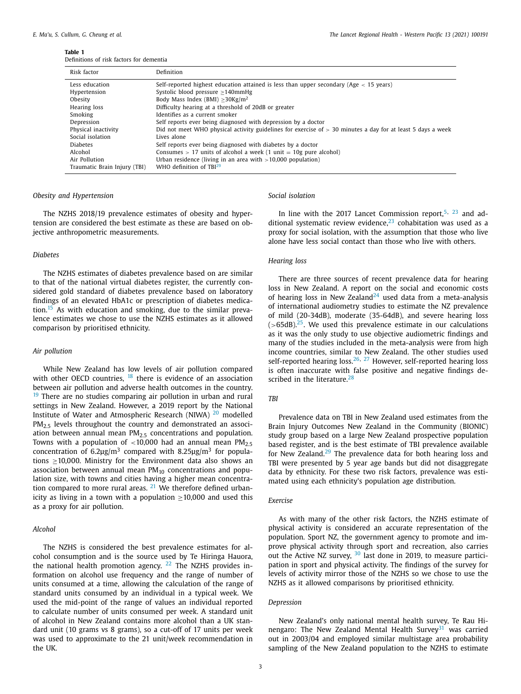<span id="page-2-0"></span>**Table 1**

Definitions of risk factors for dementia

| Risk factor                  | Definition                                                                                                    |
|------------------------------|---------------------------------------------------------------------------------------------------------------|
| Less education               | Self-reported highest education attained is less than upper secondary (Age $\lt$ 15 years)                    |
| Hypertension                 | Systolic blood pressure $>140$ mmHg                                                                           |
| Obesity                      | Body Mass Index (BMI) $>30$ Kg/m <sup>2</sup>                                                                 |
| Hearing loss                 | Difficulty hearing at a threshold of 20dB or greater                                                          |
| Smoking                      | Identifies as a current smoker                                                                                |
| Depression                   | Self reports ever being diagnosed with depression by a doctor                                                 |
| Physical inactivity          | Did not meet WHO physical activity guidelines for exercise of $>$ 30 minutes a day for at least 5 days a week |
| Social isolation             | Lives alone                                                                                                   |
| <b>Diabetes</b>              | Self reports ever being diagnosed with diabetes by a doctor                                                   |
| Alcohol                      | Consumes $> 17$ units of alcohol a week (1 unit = 10g pure alcohol)                                           |
| Air Pollution                | Urban residence (living in an area with $>10,000$ population)                                                 |
| Traumatic Brain Injury (TBI) | WHO definition of $TRI29$                                                                                     |

# *Obesity and Hypertension*

The NZHS 2018/19 prevalence estimates of obesity and hypertension are considered the best estimate as these are based on objective anthropometric measurements.

# *Diabetes*

The NZHS estimates of diabetes prevalence based on are similar to that of the national virtual diabetes register, the currently considered gold standard of diabetes prevalence based on laboratory findings of an elevated HbA1c or prescription of diabetes medica-tion.<sup>[15](#page-7-0)</sup> As with education and smoking, due to the similar prevalence estimates we chose to use the NZHS estimates as it allowed comparison by prioritised ethnicity.

#### *Air pollution*

While New Zealand has low levels of air pollution compared with other OECD countries, <sup>[18](#page-7-0)</sup> there is evidence of an association between air pollution and adverse health outcomes in the country. <sup>[19](#page-7-0)</sup> There are no studies comparing air pollution in urban and rural settings in New Zealand. However, a 2019 report by the National Institute of Water and Atmospheric Research (NIWA) [20](#page-7-0) modelled  $PM<sub>2.5</sub>$  levels throughout the country and demonstrated an association between annual mean  $PM<sub>2.5</sub>$  concentrations and population. Towns with a population of  $\lt$ 10,000 had an annual mean PM<sub>2.5</sub> concentration of  $6.2\mu$ g/m<sup>3</sup> compared with  $8.25\mu$ g/m<sup>3</sup> for populations ≥10,000. Ministry for the Environment data also shows an association between annual mean  $PM_{10}$  concentrations and population size, with towns and cities having a higher mean concentration compared to more rural areas.  $21$  We therefore defined urbanicity as living in a town with a population  $\geq$ 10,000 and used this as a proxy for air pollution.

#### *Alcohol*

The NZHS is considered the best prevalence estimates for alcohol consumption and is the source used by Te Hiringa Hauora, the national health promotion agency.  $22$  The NZHS provides information on alcohol use frequency and the range of number of units consumed at a time, allowing the calculation of the range of standard units consumed by an individual in a typical week. We used the mid-point of the range of values an individual reported to calculate number of units consumed per week. A standard unit of alcohol in New Zealand contains more alcohol than a UK standard unit (10 grams vs 8 grams), so a cut-off of 17 units per week was used to approximate to the 21 unit/week recommendation in the UK.

# *Social isolation*

In line with the 2017 Lancet Commission report.<sup>[5,](#page-7-0) [23](#page-7-0)</sup> and additional systematic review evidence, $23$  cohabitation was used as a proxy for social isolation, with the assumption that those who live alone have less social contact than those who live with others.

#### *Hearing loss*

There are three sources of recent prevalence data for hearing loss in New Zealand. A report on the social and economic costs of hearing loss in New Zealand<sup>[24](#page-7-0)</sup> used data from a meta-analysis of international audiometry studies to estimate the NZ prevalence of mild (20-34dB), moderate (35-64dB), and severe hearing loss  $($ >65dB). $25$ . We used this prevalence estimate in our calculations as it was the only study to use objective audiometric findings and many of the studies included in the meta-analysis were from high income countries, similar to New Zealand. The other studies used self-reported hearing loss.<sup>[26,](#page-7-0) [27](#page-7-0)</sup> However, self-reported hearing loss is often inaccurate with false positive and negative findings de-scribed in the literature.<sup>[28](#page-7-0)</sup>

#### *TBI*

Prevalence data on TBI in New Zealand used estimates from the Brain Injury Outcomes New Zealand in the Community (BIONIC) study group based on a large New Zealand prospective population based register, and is the best estimate of TBI prevalence available for New Zealand. $29$  The prevalence data for both hearing loss and TBI were presented by 5 year age bands but did not disaggregate data by ethnicity. For these two risk factors, prevalence was estimated using each ethnicity's population age distribution.

#### *Exercise*

As with many of the other risk factors, the NZHS estimate of physical activity is considered an accurate representation of the population. Sport NZ, the government agency to promote and improve physical activity through sport and recreation, also carries out the Active NZ survey, <sup>[30](#page-7-0)</sup> last done in 2019, to measure participation in sport and physical activity. The findings of the survey for levels of activity mirror those of the NZHS so we chose to use the NZHS as it allowed comparisons by prioritised ethnicity.

#### *Depression*

New Zealand's only national mental health survey, Te Rau Hinengaro: The New Zealand Mental Health Survey $31$  was carried out in 2003/04 and employed similar multistage area probability sampling of the New Zealand population to the NZHS to estimate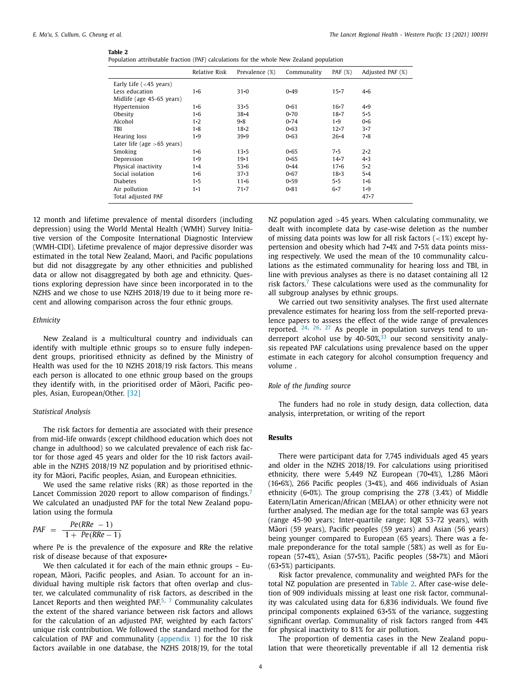#### **Table 2**

| Population attributable fraction (PAF) calculations for the whole New Zealand population |  |  |  |  |  |  |  |
|------------------------------------------------------------------------------------------|--|--|--|--|--|--|--|
|------------------------------------------------------------------------------------------|--|--|--|--|--|--|--|

|                              | Relative Risk | Prevalence (%) | Communality | PAF $(%)$ | Adjusted PAF (%) |
|------------------------------|---------------|----------------|-------------|-----------|------------------|
| Early Life $(<$ 45 years)    |               |                |             |           |                  |
| Less education               | 1•6           | $31 - 0$       | $0 - 49$    | $15 - 7$  | $4 - 6$          |
| Midlife (age 45-65 years)    |               |                |             |           |                  |
| Hypertension                 | 1•6           | $33 \cdot 5$   | $0 - 61$    | $16 - 7$  | 4.9              |
| Obesity                      | $1 - 6$       | $38 - 4$       | $0 - 70$    | $18 - 7$  | $5 - 5$          |
| Alcohol                      | 1·2           | $9 - 8$        | 0.74        | $1 - 9$   | $0 - 6$          |
| TBI                          | $1 - 8$       | $18 - 2$       | $0 - 63$    | $12 - 7$  | $3\cdot 7$       |
| Hearing loss                 | $1 - 9$       | $39 - 9$       | $0 - 63$    | $26 - 4$  | $7 - 8$          |
| Later life (age $>65$ years) |               |                |             |           |                  |
| Smoking                      | 1•6           | $13 - 5$       | $0 - 65$    | 7.5       | $2 \cdot 2$      |
| Depression                   | $1 - 9$       | $19 - 1$       | $0 - 65$    | $14 - 7$  | 4.3              |
| Physical inactivity          | $1 - 4$       | $53 - 6$       | $0 - 44$    | $17 - 6$  | 5.2              |
| Social isolation             | $1 - 6$       | $37 - 3$       | $0 - 67$    | $18 - 3$  | $5 - 4$          |
| <b>Diabetes</b>              | $1 - 5$       | $11 - 6$       | 0.59        | 5.5       | $1 - 6$          |
| Air pollution                | $1\cdot 1$    | $71 - 7$       | $0 - 81$    | $6 - 7$   | $1 - 9$          |
| Total adjusted PAF           |               |                |             |           | 47.7             |
|                              |               |                |             |           |                  |

12 month and lifetime prevalence of mental disorders (including depression) using the World Mental Health (WMH) Survey Initiative version of the Composite International Diagnostic Interview (WMH-CIDI). Lifetime prevalence of major depressive disorder was estimated in the total New Zealand, Maori, and Pacific populations but did not disaggregate by any other ethnicities and published data or allow not disaggregated by both age and ethnicity. Questions exploring depression have since been incorporated in to the NZHS and we chose to use NZHS 2018/19 due to it being more recent and allowing comparison across the four ethnic groups.

#### *Ethnicity*

New Zealand is a multicultural country and individuals can identify with multiple ethnic groups so to ensure fully independent groups, prioritised ethnicity as defined by the Ministry of Health was used for the 10 NZHS 2018/19 risk factors. This means each person is allocated to one ethnic group based on the groups they identify with, in the prioritised order of Maori, Pacific peoples, Asian, European/Other. [\[32\]](#page-8-0)

#### *Statistical Analysis*

The risk factors for dementia are associated with their presence from mid-life onwards (except childhood education which does not change in adulthood) so we calculated prevalence of each risk factor for those aged 45 years and older for the 10 risk factors available in the NZHS 2018/19 NZ population and by prioritised ethnicity for Māori, Pacific peoples, Asian, and European ethnicities.

We used the same relative risks (RR) as those reported in the Lancet Commission 2020 report to allow comparison of findings.<sup>[7](#page-7-0)</sup> We calculated an unadjusted PAF for the total New Zealand population using the formula

$$
PAF = \frac{Pe(RRe - 1)}{1 + Pe(RRe - 1)}
$$

where Pe is the prevalence of the exposure and RRe the relative risk of disease because of that exposure•

We then calculated it for each of the main ethnic groups – European, Māori, Pacific peoples, and Asian. To account for an individual having multiple risk factors that often overlap and cluster, we calculated communality of risk factors, as described in the Lancet Reports and then weighted PAF.<sup>[5,](#page-7-0) [7](#page-7-0)</sup> Communality calculates the extent of the shared variance between risk factors and allows for the calculation of an adjusted PAF, weighted by each factors' unique risk contribution. We followed the standard method for the calculation of PAF and communality [\(appendix](#page-7-0) 1) for the 10 risk factors available in one database, the NZHS 2018/19, for the total NZ population aged >45 years. When calculating communality, we dealt with incomplete data by case-wise deletion as the number of missing data points was low for all risk factors  $\left($  <1%) except hypertension and obesity which had 7•4% and 7•5% data points missing respectively*.* We used the mean of the 10 communality calculations as the estimated communality for hearing loss and TBI, in line with previous analyses as there is no dataset containing all 12 risk factors.<sup>[7](#page-7-0)</sup> These calculations were used as the communality for all subgroup analyses by ethnic groups.

We carried out two sensitivity analyses. The first used alternate prevalence estimates for hearing loss from the self-reported prevalence papers to assess the effect of the wide range of prevalences reported. [24,](#page-7-0) [26,](#page-7-0) [27](#page-7-0) As people in population surveys tend to underreport alcohol use by  $40-50\frac{\text{m}}{\text{s}}^3$  our second sensitivity analysis repeated PAF calculations using prevalence based on the upper estimate in each category for alcohol consumption frequency and volume .

### *Role of the funding source*

The funders had no role in study design, data collection, data analysis, interpretation, or writing of the report

# **Results**

There were participant data for 7,745 individuals aged 45 years and older in the NZHS 2018/19. For calculations using prioritised ethnicity, there were 5,449 NZ European (70•4%), 1,286 Māori (16•6%), 266 Pacific peoples (3•4%), and 466 individuals of Asian ethnicity (6•0%). The group comprising the 278 (3.4%) of Middle Eatern/Latin American/African (MELAA) or other ethnicity were not further analysed. The median age for the total sample was 63 years (range 45-90 years; Inter-quartile range; IQR 53-72 years), with Māori (59 years), Pacific peoples (59 years) and Asian (56 years) being younger compared to European (65 years). There was a female preponderance for the total sample (58%) as well as for European (57 $\cdot$ 4%), Asian (57 $\cdot$ 5%), Pacific peoples (58 $\cdot$ 7%) and Maori (63•5%) participants.

Risk factor prevalence, communality and weighted PAFs for the total NZ population are presented in Table 2. After case-wise deletion of 909 individuals missing at least one risk factor, communality was calculated using data for 6,836 individuals. We found five principal components explained 63•5% of the variance, suggesting significant overlap. Communality of risk factors ranged from 44% for physical inactivity to 81% for air pollution.

The proportion of dementia cases in the New Zealand population that were theoretically preventable if all 12 dementia risk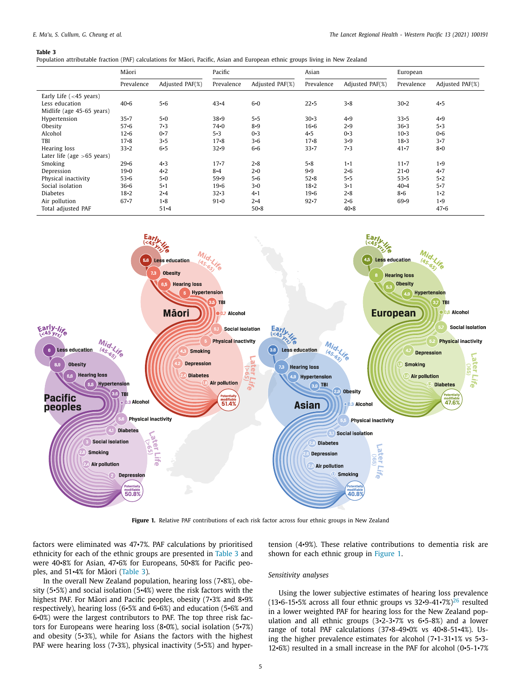#### **Table 3**

| Population attributable fraction (PAF) calculations for Māori, Pacific, Asian and European ethnic groups living in New Zealand |  |  |  |  |  |
|--------------------------------------------------------------------------------------------------------------------------------|--|--|--|--|--|
|--------------------------------------------------------------------------------------------------------------------------------|--|--|--|--|--|

|                              | Māori      |                 | Pacific    |                 | Asian      |                 | European   |                 |
|------------------------------|------------|-----------------|------------|-----------------|------------|-----------------|------------|-----------------|
|                              | Prevalence | Adjusted PAF(%) | Prevalence | Adjusted PAF(%) | Prevalence | Adjusted PAF(%) | Prevalence | Adjusted PAF(%) |
| Early Life $(<$ 45 years)    |            |                 |            |                 |            |                 |            |                 |
| Less education               | $40 - 6$   | $5 - 6$         | $43 - 4$   | $6 - 0$         | $22 - 5$   | $3 - 8$         | $30 - 2$   | 4.5             |
| Midlife (age 45-65 years)    |            |                 |            |                 |            |                 |            |                 |
| Hypertension                 | $35 - 7$   | $5 - 0$         | $38 - 9$   | $5 - 5$         | $30 - 3$   | 4.9             | $33 - 5$   | 4.9             |
| Obesity                      | $57 - 6$   | 7.3             | $74 - 0$   | $8 - 9$         | $16 - 6$   | 2.9             | $36 - 3$   | 5.3             |
| Alcohol                      | $12 - 6$   | $0 - 7$         | 5.3        | $0 - 3$         | 4.5        | $0 - 3$         | $10 - 3$   | $0 - 6$         |
| TBI                          | $17 - 8$   | 3.5             | $17 - 8$   | $3 - 6$         | $17 - 8$   | $3 - 9$         | $18 - 3$   | 3.7             |
| Hearing loss                 | $33 - 2$   | $6 - 5$         | $32 - 9$   | $6 - 6$         | $33 - 7$   | 7.3             | $41 - 7$   | $8 - 0$         |
| Later life (age $>65$ years) |            |                 |            |                 |            |                 |            |                 |
| Smoking                      | $29 - 6$   | 4.3             | $17 - 7$   | $2 - 8$         | $5 - 8$    | $1 \cdot 1$     | $11 - 7$   | $1 - 9$         |
| Depression                   | $19 - 0$   | 4.2             | $8 - 4$    | $2 - 0$         | 9.9        | $2 - 6$         | $21 - 0$   | 4.7             |
| Physical inactivity          | $53 - 6$   | $5 - 0$         | $59 - 9$   | $5 - 6$         | $52 - 8$   | $5 - 5$         | $53 - 5$   | $5 - 2$         |
| Social isolation             | $36 - 6$   | 5·1             | $19 - 6$   | $3 - 0$         | $18 - 2$   | $3 - 1$         | $40 - 4$   | 5.7             |
| <b>Diabetes</b>              | $18 - 2$   | $2 - 4$         | $32 - 3$   | $4 - 1$         | $19 - 6$   | $2 - 8$         | $8 - 6$    | $1 - 2$         |
| Air pollution                | $67 - 7$   | $1 - 8$         | $91 - 0$   | $2 - 4$         | $92 - 7$   | $2 - 6$         | $69 - 9$   | $1 - 9$         |
| Total adjusted PAF           |            | $51 - 4$        |            | $50 - 8$        |            | $40 - 8$        |            | $47 - 6$        |



**Figure 1.** Relative PAF contributions of each risk factor across four ethnic groups in New Zealand

factors were eliminated was 47•7%. PAF calculations by prioritised ethnicity for each of the ethnic groups are presented in Table 3 and were 40•8% for Asian, 47•6% for Europeans, 50•8% for Pacific peoples, and  $51-4%$  for Maori (Table 3).

In the overall New Zealand population, hearing loss (7•8%), obesity (5•5%) and social isolation (5•4%) were the risk factors with the highest PAF. For Māori and Pacific peoples, obesity (7.3% and 8.9% respectively), hearing loss (6•5% and 6•6%) and education (5•6% and 6•0%) were the largest contributors to PAF. The top three risk factors for Europeans were hearing loss (8•0%), social isolation (5•7%) and obesity (5•3%), while for Asians the factors with the highest PAF were hearing loss (7.3%), physical inactivity (5.5%) and hypertension (4•9%). These relative contributions to dementia risk are shown for each ethnic group in Figure 1.

### *Sensitivity analyses*

Using the lower subjective estimates of hearing loss prevalence (13•6-15•5% across all four ethnic groups vs  $32 \cdot 9 - 41 \cdot 7\%$ )<sup>[26](#page-7-0)</sup> resulted in a lower weighted PAF for hearing loss for the New Zealand population and all ethnic groups (3•2-3•7% vs 6•5-8%) and a lower range of total PAF calculations (37•8-49•0% vs 40•8-51•4%). Using the higher prevalence estimates for alcohol (7•1-31•1% vs 5•3- 12•6%) resulted in a small increase in the PAF for alcohol (0•5-1•7%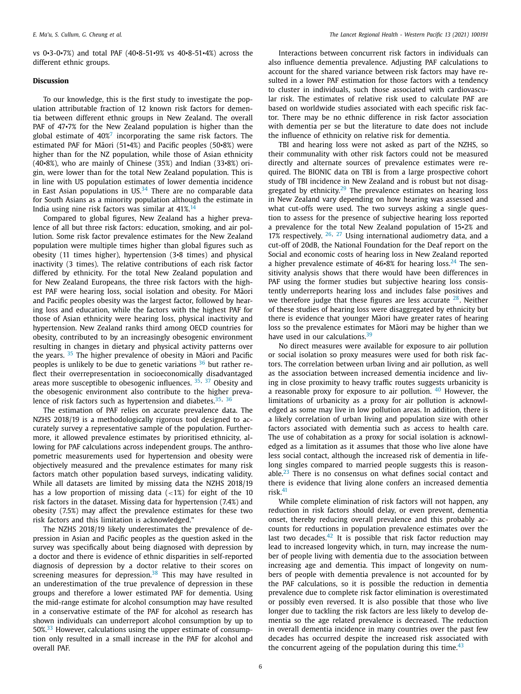vs 0•3-0•7%) and total PAF (40•8-51•9% vs 40•8-51•4%) across the different ethnic groups.

#### **Discussion**

To our knowledge, this is the first study to investigate the population attributable fraction of 12 known risk factors for dementia between different ethnic groups in New Zealand. The overall PAF of 47 $\cdot$ 7% for the New Zealand population is higher than the global estimate of  $40\%$ <sup>[7](#page-7-0)</sup> incorporating the same risk factors. The estimated PAF for Māori  $(51-4%)$  and Pacific peoples  $(50-8%)$  were higher than for the NZ population, while those of Asian ethnicity (40•8%), who are mainly of Chinese (35%) and Indian (33•8%) origin, were lower than for the total New Zealand population. This is in line with US population estimates of lower dementia incidence in East Asian populations in  $US^{34}$  $US^{34}$  $US^{34}$  There are no comparable data for South Asians as a minority population although the estimate in India using nine risk factors was similar at  $41\%$ .<sup>[14](#page-7-0)</sup>

Compared to global figures, New Zealand has a higher prevalence of all but three risk factors: education, smoking, and air pollution. Some risk factor prevalence estimates for the New Zealand population were multiple times higher than global figures such as obesity (11 times higher), hypertension (3•8 times) and physical inactivity (3 times). The relative contributions of each risk factor differed by ethnicity. For the total New Zealand population and for New Zealand Europeans, the three risk factors with the highest PAF were hearing loss, social isolation and obesity. For Māori and Pacific peoples obesity was the largest factor, followed by hearing loss and education, while the factors with the highest PAF for those of Asian ethnicity were hearing loss, physical inactivity and hypertension. New Zealand ranks third among OECD countries for obesity, contributed to by an increasingly obesogenic environment resulting in changes in dietary and physical activity patterns over the years.  $35$  The higher prevalence of obesity in Maori and Pacific peoples is unlikely to be due to genetic variations  $36$  but rather reflect their overrepresentation in socioeconomically disadvantaged areas more susceptible to obesogenic influences. <sup>[35,](#page-8-0) [37](#page-8-0)</sup> Obesity and the obesogenic environment also contribute to the higher preva-lence of risk factors such as hypertension and diabetes.<sup>[35,](#page-8-0) [36](#page-8-0)</sup>

The estimation of PAF relies on accurate prevalence data. The NZHS 2018/19 is a methodologically rigorous tool designed to accurately survey a representative sample of the population. Furthermore, it allowed prevalence estimates by prioritised ethnicity, allowing for PAF calculations across independent groups. The anthropometric measurements used for hypertension and obesity were objectively measured and the prevalence estimates for many risk factors match other population based surveys, indicating validity. While all datasets are limited by missing data the NZHS 2018/19 has a low proportion of missing data  $\left( <1\% \right)$  for eight of the 10 risk factors in the dataset. Missing data for hypertension (7.4%) and obesity (7.5%) may affect the prevalence estimates for these two risk factors and this limitation is acknowledged."

The NZHS 2018/19 likely underestimates the prevalence of depression in Asian and Pacific peoples as the question asked in the survey was specifically about being diagnosed with depression by a doctor and there is evidence of ethnic disparities in self-reported diagnosis of depression by a doctor relative to their scores on screening measures for depression.<sup>[38](#page-8-0)</sup> This may have resulted in an underestimation of the true prevalence of depression in these groups and therefore a lower estimated PAF for dementia. Using the mid-range estimate for alcohol consumption may have resulted in a conservative estimate of the PAF for alcohol as research has shown individuals can underreport alcohol consumption by up to  $50\%$ <sup>[33](#page-8-0)</sup> However, calculations using the upper estimate of consumption only resulted in a small increase in the PAF for alcohol and overall PAF.

Interactions between concurrent risk factors in individuals can also influence dementia prevalence. Adjusting PAF calculations to account for the shared variance between risk factors may have resulted in a lower PAF estimation for those factors with a tendency to cluster in individuals, such those associated with cardiovascular risk. The estimates of relative risk used to calculate PAF are based on worldwide studies associated with each specific risk factor. There may be no ethnic difference in risk factor association with dementia per se but the literature to date does not include the influence of ethnicity on relative risk for dementia.

TBI and hearing loss were not asked as part of the NZHS, so their communality with other risk factors could not be measured directly and alternate sources of prevalence estimates were required. The BIONIC data on TBI is from a large prospective cohort study of TBI incidence in New Zealand and is robust but not disag-gregated by ethnicity.<sup>[29](#page-7-0)</sup> The prevalence estimates on hearing loss in New Zealand vary depending on how hearing was assessed and what cut-offs were used. The two surveys asking a single question to assess for the presence of subjective hearing loss reported a prevalence for the total New Zealand population of 15•2% and  $17\%$  respectively.  $26$ ,  $27$  Using international audiometry data, and a cut-off of 20dB, the National Foundation for the Deaf report on the Social and economic costs of hearing loss in New Zealand reported a higher prevalence estimate of  $46·8%$  for hearing loss.<sup>[24](#page-7-0)</sup> The sensitivity analysis shows that there would have been differences in PAF using the former studies but subjective hearing loss consistently underreports hearing loss and includes false positives and we therefore judge that these figures are less accurate  $28$ . Neither of these studies of hearing loss were disaggregated by ethnicity but there is evidence that younger Maori have greater rates of hearing loss so the prevalence estimates for Maori may be higher than we have used in our calculations.<sup>[39](#page-8-0)</sup>

No direct measures were available for exposure to air pollution or social isolation so proxy measures were used for both risk factors. The correlation between urban living and air pollution, as well as the association between increased dementia incidence and living in close proximity to heavy traffic routes suggests urbanicity is a reasonable proxy for exposure to air pollution.  $40$  However, the limitations of urbanicity as a proxy for air pollution is acknowledged as some may live in low pollution areas. In addition, there is a likely correlation of urban living and population size with other factors associated with dementia such as access to health care. The use of cohabitation as a proxy for social isolation is acknowledged as a limitation as it assumes that those who live alone have less social contact, although the increased risk of dementia in lifelong singles compared to married people suggests this is reasonable. $^{23}$  $^{23}$  $^{23}$  There is no consensus on what defines social contact and there is evidence that living alone confers an increased dementia risk.[41](#page-8-0)

While complete elimination of risk factors will not happen, any reduction in risk factors should delay, or even prevent, dementia onset, thereby reducing overall prevalence and this probably accounts for reductions in population prevalence estimates over the last two decades.<sup>[42](#page-8-0)</sup> It is possible that risk factor reduction may lead to increased longevity which, in turn, may increase the number of people living with dementia due to the association between increasing age and dementia. This impact of longevity on numbers of people with dementia prevalence is not accounted for by the PAF calculations, so it is possible the reduction in dementia prevalence due to complete risk factor elimination is overestimated or possibly even reversed. It is also possible that those who live longer due to tackling the risk factors are less likely to develop dementia so the age related prevalence is decreased. The reduction in overall dementia incidence in many countries over the past few decades has occurred despite the increased risk associated with the concurrent ageing of the population during this time. $43$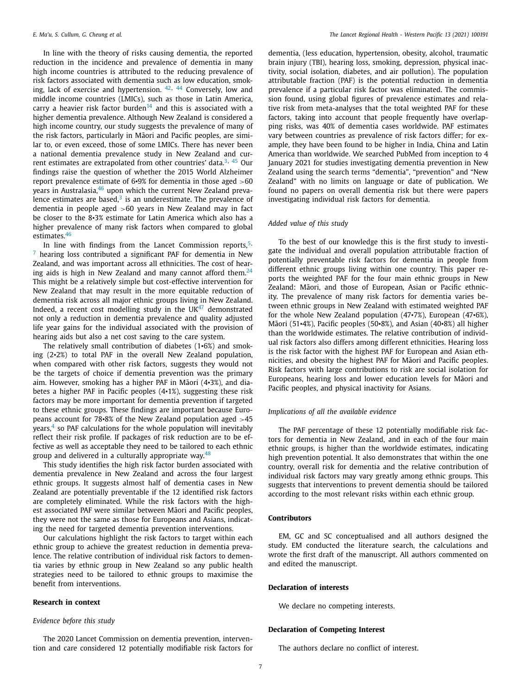In line with the theory of risks causing dementia, the reported reduction in the incidence and prevalence of dementia in many high income countries is attributed to the reducing prevalence of risk factors associated with dementia such as low education, smoking, lack of exercise and hypertension. [42,](#page-8-0) [44](#page-8-0) Conversely, low and middle income countries (LMICs), such as those in Latin America, carry a heavier risk factor burden<sup>[14](#page-7-0)</sup> and this is associated with a higher dementia prevalence. Although New Zealand is considered a high income country, our study suggests the prevalence of many of the risk factors, particularly in Maori and Pacific peoples, are similar to, or even exceed, those of some LMICs. There has never been a national dementia prevalence study in New Zealand and cur-rent estimates are extrapolated from other countries' data.<sup>[3,](#page-7-0) [45](#page-8-0)</sup> Our findings raise the question of whether the 2015 World Alzheimer report prevalence estimate of 6•9% for dementia in those aged >60 years in Australasia,<sup>[46](#page-8-0)</sup> upon which the current New Zealand prevalence estimates are based, $3$  is an underestimate. The prevalence of dementia in people aged >60 years in New Zealand may in fact be closer to the 8•3% estimate for Latin America which also has a higher prevalence of many risk factors when compared to global estimates.[46](#page-8-0)

In line with findings from the Lancet Commission reports,  $5$ ,  $7$  hearing loss contributed a significant PAF for dementia in New Zealand, and was important across all ethnicities. The cost of hearing aids is high in New Zealand and many cannot afford them. $24$ This might be a relatively simple but cost-effective intervention for New Zealand that may result in the more equitable reduction of dementia risk across all major ethnic groups living in New Zealand. Indeed, a recent cost modelling study in the  $UK<sup>47</sup>$  $UK<sup>47</sup>$  $UK<sup>47</sup>$  demonstrated not only a reduction in dementia prevalence and quality adjusted life year gains for the individual associated with the provision of hearing aids but also a net cost saving to the care system.

The relatively small contribution of diabetes (1•6%) and smoking (2•2%) to total PAF in the overall New Zealand population, when compared with other risk factors, suggests they would not be the targets of choice if dementia prevention was the primary aim. However, smoking has a higher PAF in Māori  $(4\cdot 3\%)$ , and diabetes a higher PAF in Pacific peoples (4•1%), suggesting these risk factors may be more important for dementia prevention if targeted to these ethnic groups. These findings are important because Europeans account for 78 $\cdot$ 8% of the New Zealand population aged  $>45$ years, $4$  so PAF calculations for the whole population will inevitably reflect their risk profile. If packages of risk reduction are to be effective as well as acceptable they need to be tailored to each ethnic group and delivered in a culturally appropriate way. $48$ 

This study identifies the high risk factor burden associated with dementia prevalence in New Zealand and across the four largest ethnic groups. It suggests almost half of dementia cases in New Zealand are potentially preventable if the 12 identified risk factors are completely eliminated. While the risk factors with the highest associated PAF were similar between Māori and Pacific peoples, they were not the same as those for Europeans and Asians, indicating the need for targeted dementia prevention interventions.

Our calculations highlight the risk factors to target within each ethnic group to achieve the greatest reduction in dementia prevalence. The relative contribution of individual risk factors to dementia varies by ethnic group in New Zealand so any public health strategies need to be tailored to ethnic groups to maximise the benefit from interventions.

#### **Research in context**

#### *Evidence before this study*

The 2020 Lancet Commission on dementia prevention, intervention and care considered 12 potentially modifiable risk factors for

dementia, (less education, hypertension, obesity, alcohol, traumatic brain injury (TBI), hearing loss, smoking, depression, physical inactivity, social isolation, diabetes, and air pollution). The population attributable fraction (PAF) is the potential reduction in dementia prevalence if a particular risk factor was eliminated. The commission found, using global figures of prevalence estimates and relative risk from meta-analyses that the total weighted PAF for these factors, taking into account that people frequently have overlapping risks, was 40% of dementia cases worldwide. PAF estimates vary between countries as prevalence of risk factors differ; for example, they have been found to be higher in India, China and Latin America than worldwide. We searched PubMed from inception to 4 January 2021 for studies investigating dementia prevention in New Zealand using the search terms "dementia", "prevention" and "New Zealand" with no limits on language or date of publication. We found no papers on overall dementia risk but there were papers investigating individual risk factors for dementia.

#### *Added value of this study*

To the best of our knowledge this is the first study to investigate the individual and overall population attributable fraction of potentially preventable risk factors for dementia in people from different ethnic groups living within one country. This paper reports the weighted PAF for the four main ethnic groups in New Zealand: Māori, and those of European, Asian or Pacific ethnicity. The prevalence of many risk factors for dementia varies between ethnic groups in New Zealand with estimated weighted PAF for the whole New Zealand population (47•7%), European (47•6%), Maori  $(51-4%)$ , Pacific peoples  $(50-8%)$ , and Asian  $(40-8%)$  all higher than the worldwide estimates. The relative contribution of individual risk factors also differs among different ethnicities. Hearing loss is the risk factor with the highest PAF for European and Asian ethnicities, and obesity the highest PAF for Māori and Pacific peoples. Risk factors with large contributions to risk are social isolation for Europeans, hearing loss and lower education levels for Māori and Pacific peoples, and physical inactivity for Asians.

#### *Implications of all the available evidence*

The PAF percentage of these 12 potentially modifiable risk factors for dementia in New Zealand, and in each of the four main ethnic groups, is higher than the worldwide estimates, indicating high prevention potential. It also demonstrates that within the one country, overall risk for dementia and the relative contribution of individual risk factors may vary greatly among ethnic groups. This suggests that interventions to prevent dementia should be tailored according to the most relevant risks within each ethnic group.

#### **Contributors**

EM, GC and SC conceptualised and all authors designed the study. EM conducted the literature search, the calculations and wrote the first draft of the manuscript. All authors commented on and edited the manuscript.

#### **Declaration of interests**

We declare no competing interests.

## **Declaration of Competing Interest**

The authors declare no conflict of interest.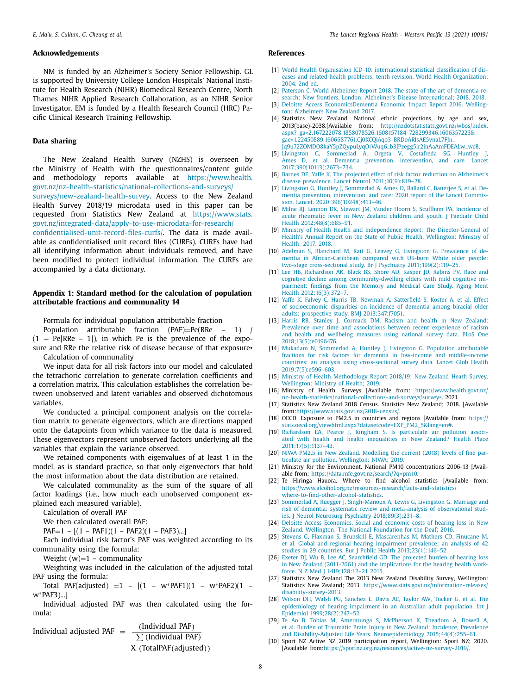#### <span id="page-7-0"></span>**Acknowledgements**

NM is funded by an Alzheimer's Society Senior Fellowship. GL is supported by University College London Hospitals' National Institute for Health Research (NIHR) Biomedical Research Centre, North Thames NIHR Applied Research Collaboration, as an NIHR Senior Investigator. EM is funded by a Health Research Council (HRC) Pacific Clinical Research Training Fellowship.

#### **Data sharing**

The New Zealand Health Survey (NZHS) is overseen by the Ministry of Health with the questionnaires/content guide and methodology reports available at https://www.health. [govt.nz/nz-health-statistics/national-collections-and-surveys/](https://www.health.govt.nz/nz-health-statistics/national-collections-and-surveys/surveys/new-zealand-health-survey) surveys/new-zealand-health-survey. Access to the New Zealand Health Survey 2018/19 microdata used in this paper can be requested from Statistics New Zealand at https://www.stats. [govt.nz/integrated-data/apply-to-use-microdata-for-research/](https://www.stats.govt.nz/integrated-data/apply-to-use-microdata-for-research/confidentialised-unit-record-files-curfs/) confidentialised-unit-record-files-curfs/. The data is made available as confidentialised unit record files (CURFs). CURFs have had all identifying information about individuals removed, and have been modified to protect individual information. The CURFs are accompanied by a data dictionary.

### **Appendix 1: Standard method for the calculation of population attributable fractions and communality 14**

Formula for individual population attributable fraction

Population attributable fraction (PAF)=Pe(RRe – 1) /  $(1 + Pe[RRe - 1])$ , in which Pe is the prevalence of the exposure and RRe the relative risk of disease because of that exposure• Calculation of communality

We input data for all risk factors into our model and calculated the tetrachoric correlation to generate correlation coefficients and a correlation matrix. This calculation establishes the correlation between unobserved and latent variables and observed dichotomous variables.

We conducted a principal component analysis on the correlation matrix to generate eigenvectors, which are directions mapped onto the datapoints from which variance to the data is measured. These eigenvectors represent unobserved factors underlying all the variables that explain the variance observed.

We retained components with eigenvalues of at least 1 in the model, as is standard practice, so that only eigenvectors that hold the most information about the data distribution are retained.

We calculated communality as the sum of the square of all factor loadings (i.e., how much each unobserved component explained each measured variable).

Calculation of overall PAF

We then calculated overall PAF:

 $PAF=1 - [(1 - PAF1)(1 - PAF2)(1 - PAF3)...]$ 

Each individual risk factor's PAF was weighted according to its communality using the formula:

Weight  $(w)=1$  – communality

Weighting was included in the calculation of the adjusted total PAF using the formula:

Total PAF(adjusted) =1 –  $[(1 - w^*PAF1)(1 - w^*PAF2)(1 - w^*PAF2)]$ w∗PAF3)...]

Individual adjusted PAF was then calculated using the formula:

Individual adjusted 
$$
PAF = \frac{(\text{Individual } PAF)}{\sum (\text{Individual } PAF)}
$$

\nX (Total  $PAF$  (additional  $PAF$ ))

#### **References**

- [1] World Health Organisation ICD-10: international statistical classification of diseases and related health problems: tenth revision. World Health [Organization;](http://refhub.elsevier.com/S2666-6065(21)00100-0/sbref0001) 2004. 2nd ed.
- [2] [Paterson](http://refhub.elsevier.com/S2666-6065(21)00100-0/sbref0002) C. World Alzheimer Report 2018. The state of the art of dementia research: New frontiers, London: Alzheimer's Disease [International;](http://refhub.elsevier.com/S2666-6065(21)00100-0/sbref0002) 2018. 2018.
- [3] Deloitte Access [EconomicsDementia](http://refhub.elsevier.com/S2666-6065(21)00100-0/sbref0003) Economic Impact Report 2016. Wellington: Alzheimers New Zealand 2017.
- [4] Statistics New Zealand. National ethnic projections, by age and sex, 2013(base)-2038.[Available from: http://nzdotstat.stats.govt.nz/wbos/index. aspx?\_ga=2.167222078.1858078526.1608157184-728299346.1606357223& gac=1.22450889.1606687761.Cj0KCQiAqo3-BRDoARIsAE5vnaL7FJn\_ [Jq9u72ZOMDO8kaY5pZQypuLyqOrWuq6\\_b3JPzegg5ir2inAaAmFDEALw\\_wcB.](http://nzdotstat.stats.govt.nz/wbos/index.aspx?_ga=2.167222078.1858078526.1608157184-728299346.1606357223&_gac=1.22450889.1606687761.Cj0KCQiAqo3-BRDoARIsAE5vnaL7FJn_Jq9u72ZOMDO8kaY5pZQypuLyqOrWuq6_b3JPzegg5ir2inAaAmFDEALw_wcB)
- [5] [Livingston](http://refhub.elsevier.com/S2666-6065(21)00100-0/sbref0005) G, [Sommerlad](http://refhub.elsevier.com/S2666-6065(21)00100-0/sbref0005) A, [Orgeta](http://refhub.elsevier.com/S2666-6065(21)00100-0/sbref0005) V, [Costafreda](http://refhub.elsevier.com/S2666-6065(21)00100-0/sbref0005) SG, [Huntley](http://refhub.elsevier.com/S2666-6065(21)00100-0/sbref0005) [Ames](http://refhub.elsevier.com/S2666-6065(21)00100-0/sbref0005) D, et [al.](http://refhub.elsevier.com/S2666-6065(21)00100-0/sbref0005) Dementia prevention, intervention, and care. Lancet [2017;390\(10113\):2673–734.](http://refhub.elsevier.com/S2666-6065(21)00100-0/sbref0005)
- [6] [Barnes](http://refhub.elsevier.com/S2666-6065(21)00100-0/sbref0006) DE, [Yaffe](http://refhub.elsevier.com/S2666-6065(21)00100-0/sbref0006) K. The projected effect of risk factor reduction on Alzheimer's disease prevalence. Lancet Neurol [2011;10\(9\):819–28.](http://refhub.elsevier.com/S2666-6065(21)00100-0/sbref0006)
- [7] [Livingston](http://refhub.elsevier.com/S2666-6065(21)00100-0/sbref0007) G, [Huntley](http://refhub.elsevier.com/S2666-6065(21)00100-0/sbref0007) J, [Sommerlad](http://refhub.elsevier.com/S2666-6065(21)00100-0/sbref0007) A, [Ames](http://refhub.elsevier.com/S2666-6065(21)00100-0/sbref0007) D, [Ballard](http://refhub.elsevier.com/S2666-6065(21)00100-0/sbref0007) C, [Banerjee](http://refhub.elsevier.com/S2666-6065(21)00100-0/sbref0007) S, et [al.](http://refhub.elsevier.com/S2666-6065(21)00100-0/sbref0007) Dementia prevention, intervention, and care: 2020 report of the Lancet Commission. Lancet. [2020;396\(10248\):413–46.](http://refhub.elsevier.com/S2666-6065(21)00100-0/sbref0007)
- [8] [Milne](http://refhub.elsevier.com/S2666-6065(21)00100-0/sbref0008) RJ, [Lennon](http://refhub.elsevier.com/S2666-6065(21)00100-0/sbref0008) DR, [Stewart](http://refhub.elsevier.com/S2666-6065(21)00100-0/sbref0008) JM, [Vander](http://refhub.elsevier.com/S2666-6065(21)00100-0/sbref0008) Hoorn S, [Scuffham](http://refhub.elsevier.com/S2666-6065(21)00100-0/sbref0008) PA. Incidence of acute rheumatic fever in New Zealand children and youth. J Paediatr Child Health [2012;48\(8\):685–91.](http://refhub.elsevier.com/S2666-6065(21)00100-0/sbref0008)
- [9] Ministry of Health Health and Independence Report: The [Director-General](http://refhub.elsevier.com/S2666-6065(21)00100-0/sbref0009) of Health's Annual Report on the State of Public Health, Wellington: Ministry of Health; 2017. 2018.
- [10] [Adelman](http://refhub.elsevier.com/S2666-6065(21)00100-0/sbref0010) S, [Blanchard](http://refhub.elsevier.com/S2666-6065(21)00100-0/sbref0010) M, [Rait](http://refhub.elsevier.com/S2666-6065(21)00100-0/sbref0010) G, [Leavey](http://refhub.elsevier.com/S2666-6065(21)00100-0/sbref0010) G, [Livingston](http://refhub.elsevier.com/S2666-6065(21)00100-0/sbref0010) G. Prevalence of dementia in African-Caribbean compared with UK-born White older people: two-stage cross-sectional study. Br J Psychiatry [2011;199\(2\):119–25.](http://refhub.elsevier.com/S2666-6065(21)00100-0/sbref0010)
- [11] [Lee](http://refhub.elsevier.com/S2666-6065(21)00100-0/sbref0011) HB, [Richardson](http://refhub.elsevier.com/S2666-6065(21)00100-0/sbref0011) AK, [Black](http://refhub.elsevier.com/S2666-6065(21)00100-0/sbref0011) BS, [Shore](http://refhub.elsevier.com/S2666-6065(21)00100-0/sbref0011) AD, [Kasper](http://refhub.elsevier.com/S2666-6065(21)00100-0/sbref0011) JD, [Rabins](http://refhub.elsevier.com/S2666-6065(21)00100-0/sbref0011) PV. Race and cognitive decline among [community-dwelling](http://refhub.elsevier.com/S2666-6065(21)00100-0/sbref0011) elders with mild cognitive impairment: findings from the Memory and Medical Care Study. Aging Ment Health 2012;16(3):372–7.
- [12] [Yaffe](http://refhub.elsevier.com/S2666-6065(21)00100-0/sbref0012) K, [Falvey](http://refhub.elsevier.com/S2666-6065(21)00100-0/sbref0012) C, [Harris](http://refhub.elsevier.com/S2666-6065(21)00100-0/sbref0012) TB, [Newman](http://refhub.elsevier.com/S2666-6065(21)00100-0/sbref0012) A, [Satterfield](http://refhub.elsevier.com/S2666-6065(21)00100-0/sbref0012) S, [Koster](http://refhub.elsevier.com/S2666-6065(21)00100-0/sbref0012) A, et [al.](http://refhub.elsevier.com/S2666-6065(21)00100-0/sbref0012) Effect of socioeconomic disparities on incidence of dementia among biracial older adults: prospective study. BMJ [2013;347:f7051.](http://refhub.elsevier.com/S2666-6065(21)00100-0/sbref0012)
- [13] [Harris](http://refhub.elsevier.com/S2666-6065(21)00100-0/sbref0013) RB, [Stanley](http://refhub.elsevier.com/S2666-6065(21)00100-0/sbref0013) J, [Cormack](http://refhub.elsevier.com/S2666-6065(21)00100-0/sbref0013) DM. Racism and health in New Zealand: Prevalence over time and associations between recent experience of racism and health and wellbeing measures using national survey data. PLoS One [2018;13\(5\):e0196476.](http://refhub.elsevier.com/S2666-6065(21)00100-0/sbref0013)
- [14] [Mukadam](http://refhub.elsevier.com/S2666-6065(21)00100-0/sbref0014) N, [Sommerlad](http://refhub.elsevier.com/S2666-6065(21)00100-0/sbref0014) A, [Huntley](http://refhub.elsevier.com/S2666-6065(21)00100-0/sbref0014) J, [Livingston](http://refhub.elsevier.com/S2666-6065(21)00100-0/sbref0014) G. Population attributable fractions for risk factors for dementia in low-income and middle-income countries: an analysis using cross-sectional survey data. Lancet Glob Health [2019;7\(5\):e596–603.](http://refhub.elsevier.com/S2666-6065(21)00100-0/sbref0014)
- [15] Ministry of Health [Methodology](http://refhub.elsevier.com/S2666-6065(21)00100-0/sbref0015) Report 2018/19: New Zealand Heath Survey. Wellington: Ministry of Health; 2019.
- [16] Ministry of Health. Surveys [Available from: https://www.health.govt.nz/ [nz-health-statistics/national-collections-and-surveys/surveys.](https://www.health.govt.nz/nz-health-statistics/national-collections-and-surveys/surveys) 2021.
- [17] Statistics New Zealand 2018 Census. Statistics New Zealand; 2018. [Available from[:https://www.stats.govt.nz/2018-census/.](https://www.stats.govt.nz/2018-census/)
- [18] OECD. Exposure to PM2.5 in countries and regions [Available from: https:// [stats.oecd.org/viewhtml.aspx?datasetcode=EXP\\_PM2\\_5&lang=en#.](https://stats.oecd.org/viewhtml.aspx?datasetcode=EXP_PM2_5&lang=en#)
- [19] [Richardson](http://refhub.elsevier.com/S2666-6065(21)00100-0/sbref0019) EA, [Pearce](http://refhub.elsevier.com/S2666-6065(21)00100-0/sbref0019) J, [Kingham](http://refhub.elsevier.com/S2666-6065(21)00100-0/sbref0019) S. Is particulate air pollution associated with health and health inequalities in New Zealand? Health Place [2011;17\(5\):1137–43.](http://refhub.elsevier.com/S2666-6065(21)00100-0/sbref0019)
- [20] NIWA PM2.5 in New Zealand. Modelling the current (2018) levels of fine particulate air pollution. [Wellington:](http://refhub.elsevier.com/S2666-6065(21)00100-0/sbref0020) NIWA; 2019.
- [21] Ministry for the Environment. National PM10 concentrations 2006-13 [Available from: [https://data.mfe.govt.nz/search/?q=pm10.](https://data.mfe.govt.nz/search/?q=pm10)
- [22] Te Hiringa Hauora. Where to find alcohol statistics [Available from: [https://www.alcohol.org.nz/resources-research/facts-and-statistics/](https://www.alcohol.org.nz/resources-research/facts-and-statistics/where-to-find-other-alcohol-statistics) where-to-find-other-alcohol-statistics.
- [23] [Sommerlad](http://refhub.elsevier.com/S2666-6065(21)00100-0/sbref0023) A, [Ruegger](http://refhub.elsevier.com/S2666-6065(21)00100-0/sbref0023) J, [Singh-Manoux](http://refhub.elsevier.com/S2666-6065(21)00100-0/sbref0023) A, [Lewis](http://refhub.elsevier.com/S2666-6065(21)00100-0/sbref0023) G, [Livingston](http://refhub.elsevier.com/S2666-6065(21)00100-0/sbref0023) G. Marriage and risk of dementia: systematic review and meta-analysis of observational studies. J Neurol Neurosurg Psychiatry [2018;89\(3\):231–8.](http://refhub.elsevier.com/S2666-6065(21)00100-0/sbref0023)
- [24] Deloitte Access [Economics.](http://refhub.elsevier.com/S2666-6065(21)00100-0/sbref0024) Social and economic costs of hearing loss in New Zealand. [Wellington:](http://refhub.elsevier.com/S2666-6065(21)00100-0/sbref0024) The National Foundation for the Deaf; 2016.
- [25] [Stevens](http://refhub.elsevier.com/S2666-6065(21)00100-0/sbref0025) G, [Flaxman](http://refhub.elsevier.com/S2666-6065(21)00100-0/sbref0025) S, [Brunskill](http://refhub.elsevier.com/S2666-6065(21)00100-0/sbref0025) E, [Mascarenhas](http://refhub.elsevier.com/S2666-6065(21)00100-0/sbref0025) M, [Mathers](http://refhub.elsevier.com/S2666-6065(21)00100-0/sbref0025) CD, [Finucane](http://refhub.elsevier.com/S2666-6065(21)00100-0/sbref0025) M, et [al.](http://refhub.elsevier.com/S2666-6065(21)00100-0/sbref0025) Global and regional hearing impairment prevalence: an analysis of 42 studies in 29 countries. Eur J Public Health [2013;23\(1\):146–52.](http://refhub.elsevier.com/S2666-6065(21)00100-0/sbref0025)
- [26] [Exeter](http://refhub.elsevier.com/S2666-6065(21)00100-0/sbref0026) DJ, [Wu](http://refhub.elsevier.com/S2666-6065(21)00100-0/sbref0026) B, [Lee](http://refhub.elsevier.com/S2666-6065(21)00100-0/sbref0026) AC, [Searchfield](http://refhub.elsevier.com/S2666-6065(21)00100-0/sbref0026) GD. The projected burden of hearing loss in New Zealand (2011-2061) and the implications for the hearing health workforce. N Z Med J 1419;128:12-21 2015.
- [27] Statistics New Zealand The 2013 New Zealand Disability Survey, Wellington: Statistics New Zealand; 2013. [https://www.stats.govt.nz/information-releases/](https://www.stats.govt.nz/information-releases/disability-survey-2013) disability-survey-2013.
- [28] [Wilson](http://refhub.elsevier.com/S2666-6065(21)00100-0/sbref0028) DH, [Walsh](http://refhub.elsevier.com/S2666-6065(21)00100-0/sbref0028) PG, [Sanchez](http://refhub.elsevier.com/S2666-6065(21)00100-0/sbref0028) L, [Davis](http://refhub.elsevier.com/S2666-6065(21)00100-0/sbref0028) AC, [Taylor](http://refhub.elsevier.com/S2666-6065(21)00100-0/sbref0028) AW, [Tucker](http://refhub.elsevier.com/S2666-6065(21)00100-0/sbref0028) G, et [al.](http://refhub.elsevier.com/S2666-6065(21)00100-0/sbref0028) The epidemiology of hearing impairment in an Australian adult population. Int J Epidemiol [1999;28\(2\):247–52.](http://refhub.elsevier.com/S2666-6065(21)00100-0/sbref0028)
- [29] Te [Ao](http://refhub.elsevier.com/S2666-6065(21)00100-0/sbref0029) B, [Tobias](http://refhub.elsevier.com/S2666-6065(21)00100-0/sbref0029) M, [Ameratunga](http://refhub.elsevier.com/S2666-6065(21)00100-0/sbref0029) S, [McPherson](http://refhub.elsevier.com/S2666-6065(21)00100-0/sbref0029) K, [Theadom](http://refhub.elsevier.com/S2666-6065(21)00100-0/sbref0029) A, [Dowell](http://refhub.elsevier.com/S2666-6065(21)00100-0/sbref0029) A, et [al.](http://refhub.elsevier.com/S2666-6065(21)00100-0/sbref0029) Burden of Traumatic Brain Injury in New Zealand: Incidence, Prevalence and Disability-Adjusted Life Years. Neuroepidemiology [2015;44\(4\):255–61.](http://refhub.elsevier.com/S2666-6065(21)00100-0/sbref0029)
- [30] Sport NZ Active NZ 2019 participation report, Wellington: Sport NZ; 2020. [Available from[:https://sportnz.org.nz/resources/active-nz-survey-2019/.](https://sportnz.org.nz/resources/active-nz-survey-2019/)